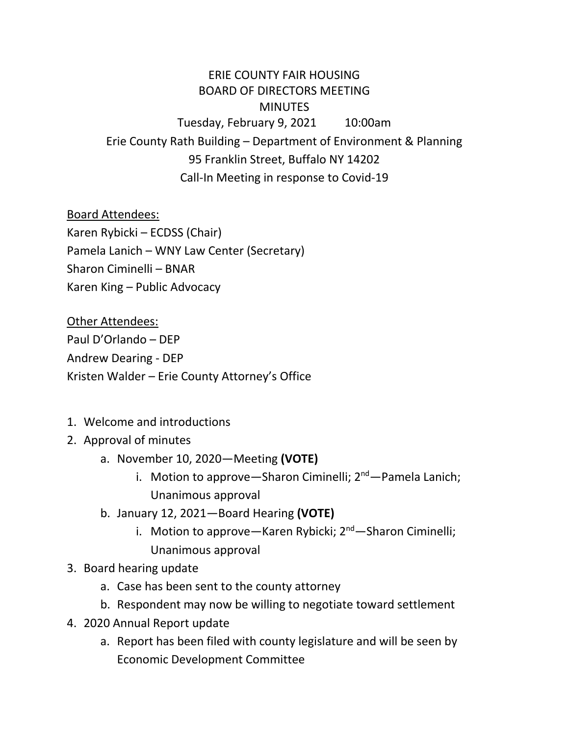## ERIE COUNTY FAIR HOUSING BOARD OF DIRECTORS MEETING **MINUTES** Tuesday, February 9, 2021 10:00am Erie County Rath Building – Department of Environment & Planning 95 Franklin Street, Buffalo NY 14202 Call-In Meeting in response to Covid-19

Board Attendees: Karen Rybicki – ECDSS (Chair) Pamela Lanich – WNY Law Center (Secretary) Sharon Ciminelli – BNAR Karen King – Public Advocacy

Other Attendees: Paul D'Orlando – DEP Andrew Dearing - DEP Kristen Walder – Erie County Attorney's Office

- 1. Welcome and introductions
- 2. Approval of minutes
	- a. November 10, 2020—Meeting **(VOTE)**
		- i. Motion to approve—Sharon Ciminelli;  $2<sup>nd</sup>$ —Pamela Lanich; Unanimous approval
	- b. January 12, 2021—Board Hearing **(VOTE)**
		- i. Motion to approve—Karen Rybicki; 2<sup>nd</sup>—Sharon Ciminelli; Unanimous approval
- 3. Board hearing update
	- a. Case has been sent to the county attorney
	- b. Respondent may now be willing to negotiate toward settlement
- 4. 2020 Annual Report update
	- a. Report has been filed with county legislature and will be seen by Economic Development Committee